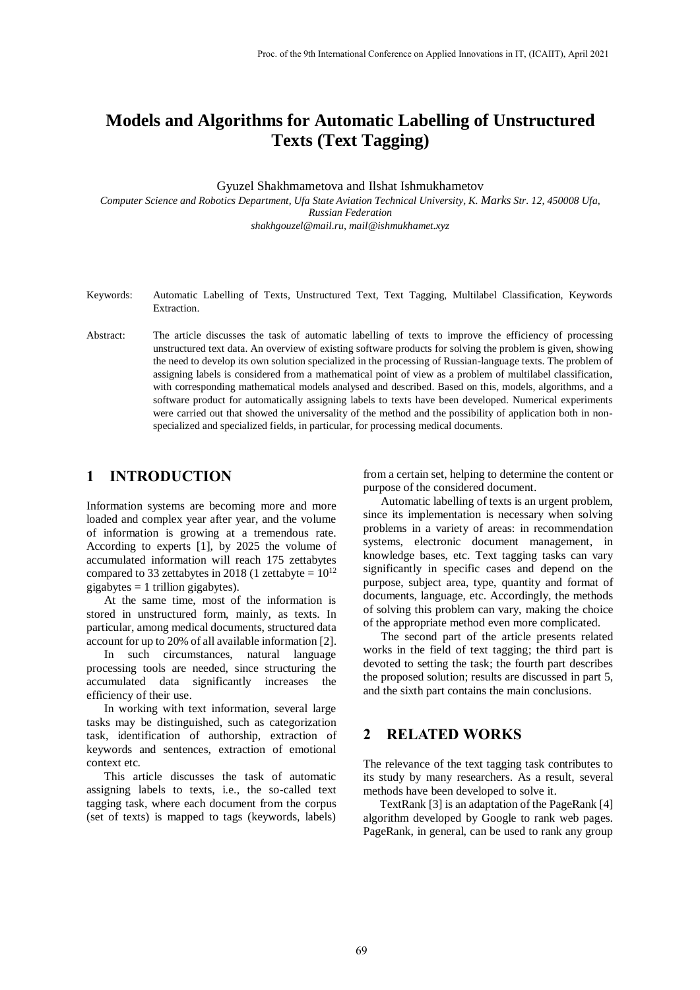# **Models and Algorithms for Automatic Labelling of Unstructured Texts (Text Tagging)**

Gyuzel Shakhmametova and Ilshat Ishmukhametov

*Computer Science and Robotics Department, Ufa State Aviation Technical University, K. Marks Str. 12, 450008 Ufa, Russian Federation shakhgouzel@mail.ru, mail@ishmukhamet.xyz*

- Keywords: Automatic Labelling of Texts, Unstructured Text, Text Tagging, Multilabel Classification, Keywords **Extraction**
- Abstract: The article discusses the task of automatic labelling of texts to improve the efficiency of processing unstructured text data. An overview of existing software products for solving the problem is given, showing the need to develop its own solution specialized in the processing of Russian-language texts. The problem of assigning labels is considered from a mathematical point of view as a problem of multilabel classification, with corresponding mathematical models analysed and described. Based on this, models, algorithms, and a software product for automatically assigning labels to texts have been developed. Numerical experiments were carried out that showed the universality of the method and the possibility of application both in nonspecialized and specialized fields, in particular, for processing medical documents.

# **1 INTRODUCTION**

Information systems are becoming more and more loaded and complex year after year, and the volume of information is growing at a tremendous rate. According to experts [\[1\],](#page-6-0) by 2025 the volume of accumulated information will reach 175 zettabytes compared to 33 zettabytes in 2018 (1 zettabyte =  $10^{12}$ gigabytes  $= 1$  trillion gigabytes).

At the same time, most of the information is stored in unstructured form, mainly, as texts. In particular, among medical documents, structured data account for up to 20% of all available information [\[2\].](#page-6-1)

In such circumstances, natural language processing tools are needed, since structuring the accumulated data significantly increases the efficiency of their use.

In working with text information, several large tasks may be distinguished, such as categorization task, identification of authorship, extraction of keywords and sentences, extraction of emotional context etc.

This article discusses the task of automatic assigning labels to texts, i.e., the so-called text tagging task, where each document from the corpus (set of texts) is mapped to tags (keywords, labels)

from a certain set, helping to determine the content or purpose of the considered document.

Automatic labelling of texts is an urgent problem, since its implementation is necessary when solving problems in a variety of areas: in recommendation systems, electronic document management, in knowledge bases, etc. Text tagging tasks can vary significantly in specific cases and depend on the purpose, subject area, type, quantity and format of documents, language, etc. Accordingly, the methods of solving this problem can vary, making the choice of the appropriate method even more complicated.

The second part of the article presents related works in the field of text tagging; the third part is devoted to setting the task; the fourth part describes the proposed solution; results are discussed in part 5, and the sixth part contains the main conclusions.

# **2 RELATED WORKS**

The relevance of the text tagging task contributes to its study by many researchers. As a result, several methods have been developed to solve it.

TextRan[k \[3\]](#page-6-2) is an adaptation of the PageRank [\[4\]](#page-6-3) algorithm developed by Google to rank web pages. PageRank, in general, can be used to rank any group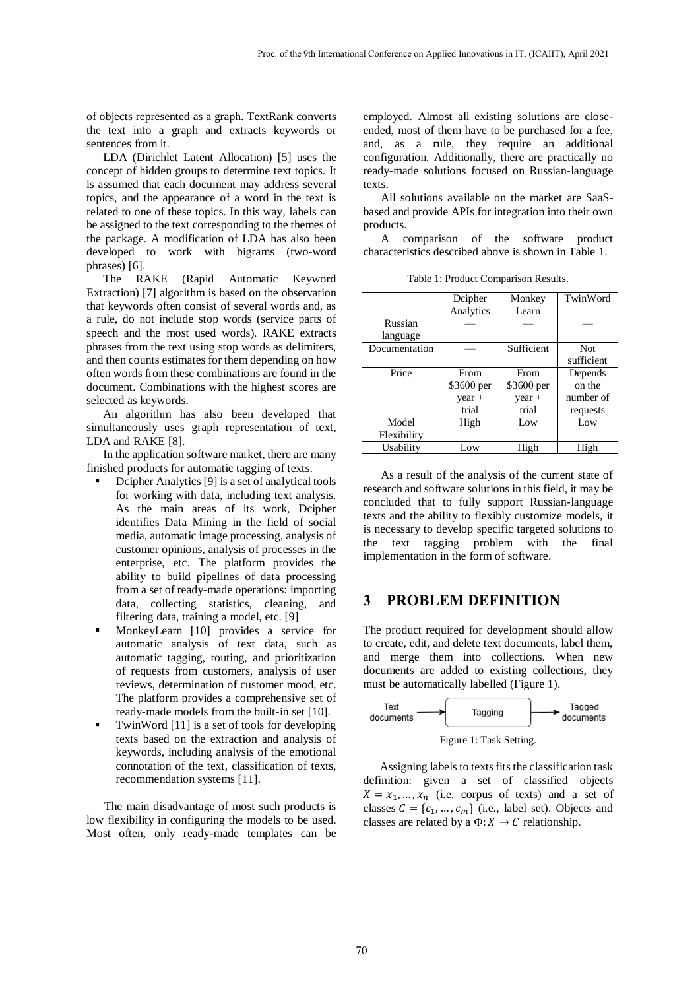of objects represented as a graph. TextRank converts the text into a graph and extracts keywords or sentences from it.

LDA (Dirichlet Latent Allocation) [\[5\]](#page-6-4) uses the concept of hidden groups to determine text topics. It is assumed that each document may address several topics, and the appearance of a word in the text is related to one of these topics. In this way, labels can be assigned to the text corresponding to the themes of the package. A modification of LDA has also been developed to work with bigrams (two-word phrases) [\[6\].](#page-6-5)

The RAKE (Rapid Automatic Keyword Extraction) [\[7\]](#page-6-6) algorithm is based on the observation that keywords often consist of several words and, as a rule, do not include stop words (service parts of speech and the most used words). RAKE extracts phrases from the text using stop words as delimiters, and then counts estimates for them depending on how often words from these combinations are found in the document. Combinations with the highest scores are selected as keywords.

An algorithm has also been developed that simultaneously uses graph representation of text, LDA and RAKE [\[8\].](#page-6-7)

In the application software market, there are many finished products for automatic tagging of texts.

- Dcipher Analytic[s \[9\]](#page-6-8) is a set of analytical tools for working with data, including text analysis. As the main areas of its work, Dcipher identifies Data Mining in the field of social media, automatic image processing, analysis of customer opinions, analysis of processes in the enterprise, etc. The platform provides the ability to build pipelines of data processing from a set of ready-made operations: importing data, collecting statistics, cleaning, and filtering data, training a model, etc. [\[9\]](#page-6-8)
- MonkeyLearn [10] provides a service for automatic analysis of text data, such as automatic tagging, routing, and prioritization of requests from customers, analysis of user reviews, determination of customer mood, etc. The platform provides a comprehensive set of ready-made models from the built-in set [10].
- TwinWord [11] is a set of tools for developing texts based on the extraction and analysis of keywords, including analysis of the emotional connotation of the text, classification of texts, recommendation systems [11].

The main disadvantage of most such products is low flexibility in configuring the models to be used. Most often, only ready-made templates can be

employed. Almost all existing solutions are closeended, most of them have to be purchased for a fee, and, as a rule, they require an additional configuration. Additionally, there are practically no ready-made solutions focused on Russian-language texts.

All solutions available on the market are SaaSbased and provide APIs for integration into their own products.

A comparison of the software product characteristics described above is shown in Table 1.

Table 1: Product Comparison Results.

|               | Dcipher    | Monkey     | TwinWord   |  |
|---------------|------------|------------|------------|--|
|               | Analytics  | Learn      |            |  |
| Russian       |            |            |            |  |
| language      |            |            |            |  |
| Documentation |            | Sufficient | <b>Not</b> |  |
|               |            |            | sufficient |  |
| Price         | From       | From       | Depends    |  |
|               | \$3600 per | \$3600 per | on the     |  |
|               | $year +$   | $year +$   | number of  |  |
|               | trial      | trial      | requests   |  |
| Model         | High       | Low        | Low        |  |
| Flexibility   |            |            |            |  |
| Usability     | Low        | High       | High       |  |

As a result of the analysis of the current state of research and software solutions in this field, it may be concluded that to fully support Russian-language texts and the ability to flexibly customize models, it is necessary to develop specific targeted solutions to the text tagging problem with the final implementation in the form of software.

## **3 PROBLEM DEFINITION**

The product required for development should allow to create, edit, and delete text documents, label them, and merge them into collections. When new documents are added to existing collections, they must be automatically labelled (Figure 1).



Assigning labels to texts fits the classification task definition: given a set of classified objects  $X = x_1, ..., x_n$  (i.e. corpus of texts) and a set of classes  $C = \{c_1, ..., c_m\}$  (i.e., label set). Objects and classes are related by a  $\Phi$ :  $X \to C$  relationship.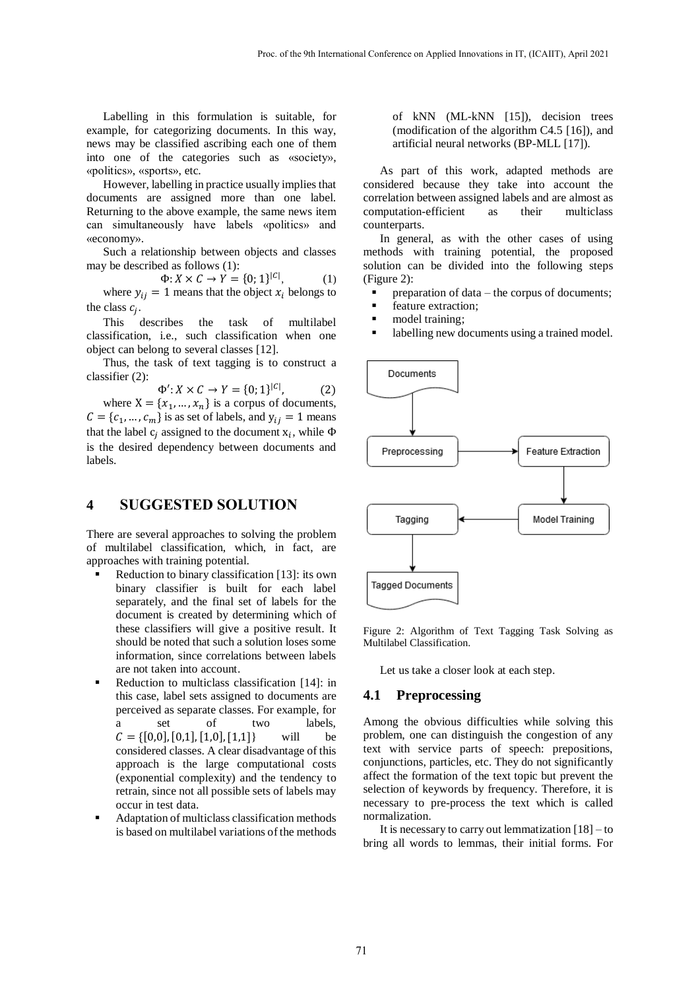Labelling in this formulation is suitable, for example, for categorizing documents. In this way, news may be classified ascribing each one of them into one of the categories such as «society», «politics», «sports», etc.

However, labelling in practice usually implies that documents are assigned more than one label. Returning to the above example, the same news item can simultaneously have labels «politics» and «economy».

Such a relationship between objects and classes may be described as follows (1):

> $\Phi: X \times C \to Y = \{0, 1\}^{|C|}$  $(1)$

where  $y_{ij} = 1$  means that the object  $x_i$  belongs to the class  $c_j$ .

This describes the task of multilabel classification, i.e., such classification when one object can belong to several classes [\[12\].](#page-6-9)

Thus, the task of text tagging is to construct a classifier (2):

$$
\Phi' : X \times C \to Y = \{0; 1\}^{|C|}, \tag{2}
$$

where  $X = \{x_1, ..., x_n\}$  is a corpus of documents,  $C = \{c_1, ..., c_m\}$  is as set of labels, and  $y_{ij} = 1$  means that the label  $c_j$  assigned to the document  $x_i$ , while  $\Phi$ is the desired dependency between documents and labels.

## **4 SUGGESTED SOLUTION**

There are several approaches to solving the problem of multilabel classification, which, in fact, are approaches with training potential.

- Reduction to binary classification [\[13\]:](#page-6-10) its own binary classifier is built for each label separately, and the final set of labels for the document is created by determining which of these classifiers will give a positive result. It should be noted that such a solution loses some information, since correlations between labels are not taken into account.
- Reduction to multiclass classification [\[14\]:](#page-7-0) in this case, label sets assigned to documents are perceived as separate classes. For example, for a set of two labels,  $C = \{ [0,0], [0,1], [1,0], [1,1] \}$  will be considered classes. A clear disadvantage of this approach is the large computational costs (exponential complexity) and the tendency to retrain, since not all possible sets of labels may occur in test data.
- Adaptation of multiclass classification methods is based on multilabel variations of the methods

of kNN (ML-kNN [\[15\]\)](#page-7-1), decision trees (modification of the algorithm C4.5 [\[16\]\)](#page-7-2), and artificial neural networks (BP-ML[L \[17\]\)](#page-7-3).

As part of this work, adapted methods are considered because they take into account the correlation between assigned labels and are almost as computation-efficient as their multiclass counterparts.

In general, as with the other cases of using methods with training potential, the proposed solution can be divided into the following steps (Figure 2):

preparation of data – the corpus of documents;

- **feature extraction:**
- model training;
- labelling new documents using a trained model.



Figure 2: Algorithm of Text Tagging Task Solving as Multilabel Classification.

Let us take a closer look at each step.

### **4.1 Preprocessing**

Among the obvious difficulties while solving this problem, one can distinguish the congestion of any text with service parts of speech: prepositions, conjunctions, particles, etc. They do not significantly affect the formation of the text topic but prevent the selection of keywords by frequency. Therefore, it is necessary to pre-process the text which is called normalization.

It is necessary to carry out lemmatization  $[18]$  – to bring all words to lemmas, their initial forms. For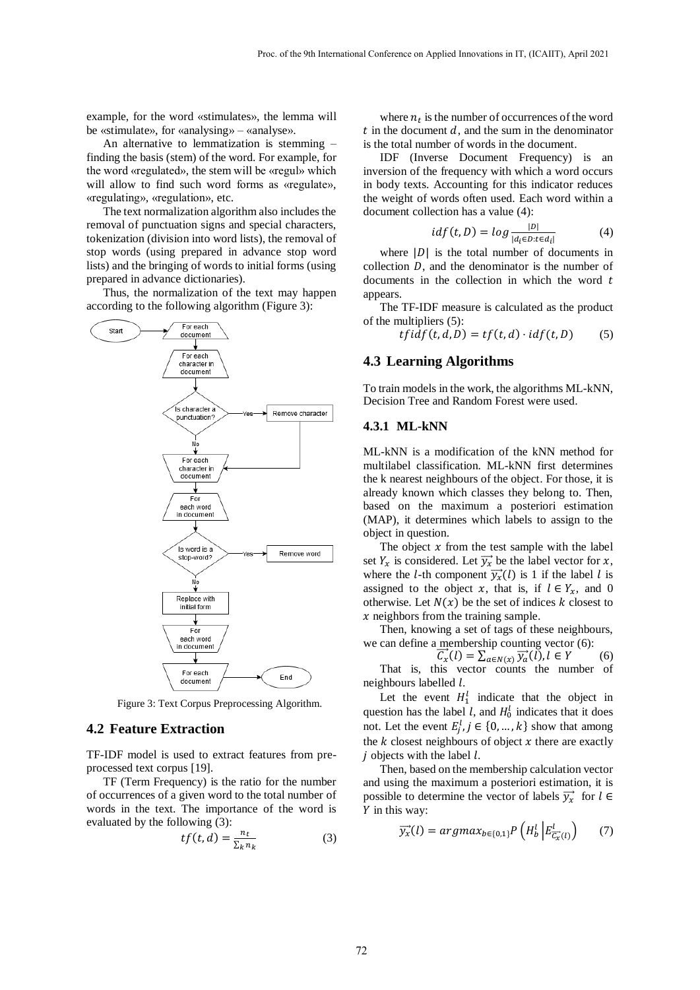example, for the word «stimulates», the lemma will be «stimulate», for «analysing» – «analyse».

An alternative to lemmatization is stemming – finding the basis (stem) of the word. For example, for the word «regulated», the stem will be «regul» which will allow to find such word forms as «regulate», «regulating», «regulation», etc.

The text normalization algorithm also includes the removal of punctuation signs and special characters, tokenization (division into word lists), the removal of stop words (using prepared in advance stop word lists) and the bringing of words to initial forms (using prepared in advance dictionaries).

Thus, the normalization of the text may happen according to the following algorithm (Figure 3):



Figure 3: Text Corpus Preprocessing Algorithm.

#### **4.2 Feature Extraction**

TF-IDF model is used to extract features from preprocessed text corpus [\[19\].](#page-7-5)

TF (Term Frequency) is the ratio for the number of occurrences of a given word to the total number of words in the text. The importance of the word is evaluated by the following (3):

$$
tf(t,d) = \frac{n_t}{\sum_k n_k} \tag{3}
$$

where  $n_t$  is the number of occurrences of the word  $t$  in the document  $d$ , and the sum in the denominator is the total number of words in the document.

IDF (Inverse Document Frequency) is an inversion of the frequency with which a word occurs in body texts. Accounting for this indicator reduces the weight of words often used. Each word within a document collection has a value (4):

$$
idf(t, D) = log \frac{|D|}{|d_i \in D : t \in d_i|}
$$
 (4)

where  $|D|$  is the total number of documents in collection  $D$ , and the denominator is the number of documents in the collection in which the word  $t$ appears.

The TF-IDF measure is calculated as the product of the multipliers (5):

 $tfidf(t, d, D) = tf(t, d) \cdot idf(t, D)$  (5)

#### **4.3 Learning Algorithms**

To train models in the work, the algorithms ML-kNN, Decision Tree and Random Forest were used.

#### **4.3.1 ML-kNN**

ML-kNN is a modification of the kNN method for multilabel classification. ML-kNN first determines the k nearest neighbours of the object. For those, it is already known which classes they belong to. Then, based on the maximum a posteriori estimation (MAP), it determines which labels to assign to the object in question.

The object  $x$  from the test sample with the label set  $Y_x$  is considered. Let  $\overrightarrow{y_x}$  be the label vector for x, where the *l*-th component  $\overrightarrow{y_x}(l)$  is 1 if the label *l* is assigned to the object x, that is, if  $l \in Y_x$ , and 0 otherwise. Let  $N(x)$  be the set of indices k closest to  $x$  neighbors from the training sample.

Then, knowing a set of tags of these neighbours, we can define a membership counting vector (6):

 $\overrightarrow{C}_x(l) = \sum_{a \in N(x)} \overrightarrow{y}_a(l), l \in Y$  (6) That is, this vector counts the number of neighbours labelled  $l$ .

Let the event  $H_1^l$  indicate that the object in question has the label l, and  $H_0^l$  indicates that it does not. Let the event  $E_j^l, j \in \{0, ..., k\}$  show that among the  $k$  closest neighbours of object  $x$  there are exactly  $i$  objects with the label  $l$ .

Then, based on the membership calculation vector and using the maximum a posteriori estimation, it is possible to determine the vector of labels  $\overrightarrow{y_x}$  for  $l \in$  $Y$  in this way:

$$
\overrightarrow{y_x}(l) = argmax_{b \in \{0,1\}} P\left(H_b^l \left| E_{\overrightarrow{C_x}(l)}^l\right| \right) \tag{7}
$$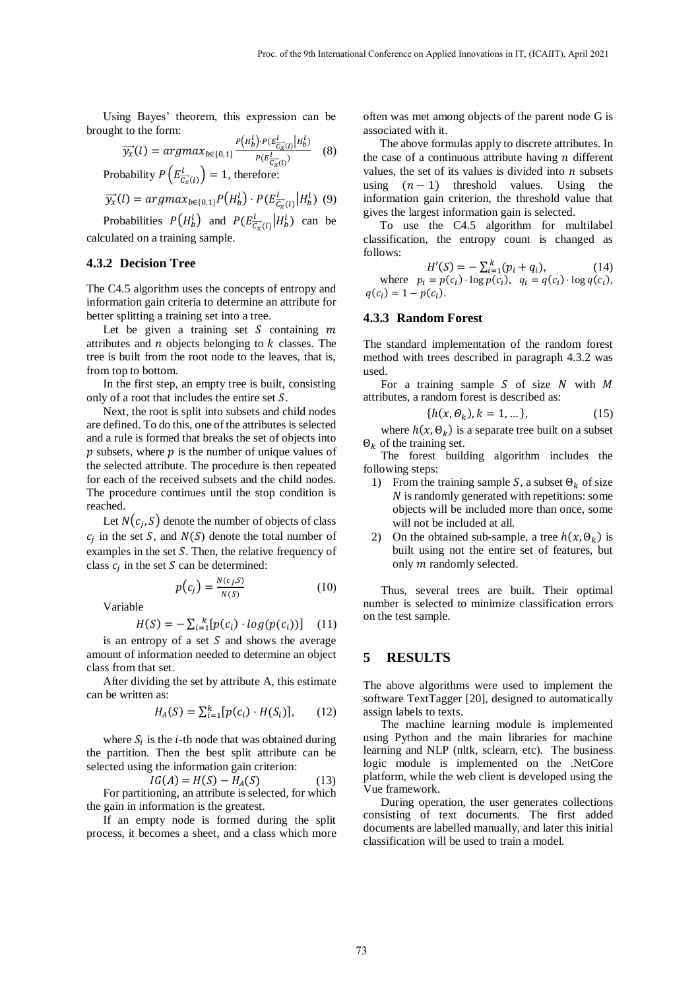Using Bayes' theorem, this expression can be brought to the form:  $\sim$   $\sim$ 

$$
\overrightarrow{y_x}(l) = \underset{(A, \ldots, A)}{\arg\max_{b \in \{0, 1\}} \frac{P(H_b^l) \cdot P(E_{\overrightarrow{C_x}(l)}^l | H_b^l)}{P(E_{\overrightarrow{C_x}(l)}^l)}} \quad (8)
$$

Probability  $P(E_{\overrightarrow{C_x}(l)}^l) = 1$ , therefore:

$$
\overrightarrow{y_x}(l) = argmax_{b \in \{0,1\}} P\left(H_b^l\right) \cdot P\left(E_{\overrightarrow{C_x}(l)}^l \middle| H_b^l\right) \tag{9}
$$

Probabilities  $P(H_b^l)$  and  $P(E_{\overline{C_x}(l)}^l | H_b^l)$  can be calculated on a training sample.

#### **4.3.2 Decision Tree**

The C4.5 algorithm uses the concepts of entropy and information gain criteria to determine an attribute for better splitting a training set into a tree.

Let be given a training set  $S$  containing  $m$ attributes and  $n$  objects belonging to  $k$  classes. The tree is built from the root node to the leaves, that is, from top to bottom.

In the first step, an empty tree is built, consisting only of a root that includes the entire set  $S$ .

Next, the root is split into subsets and child nodes are defined. To do this, one of the attributes is selected and a rule is formed that breaks the set of objects into  $p$  subsets, where  $p$  is the number of unique values of the selected attribute. The procedure is then repeated for each of the received subsets and the child nodes. The procedure continues until the stop condition is reached.

Let  $N(c_j, S)$  denote the number of objects of class  $c_j$  in the set S, and  $N(S)$  denote the total number of examples in the set  $S$ . Then, the relative frequency of class  $c_j$  in the set S can be determined:

$$
p(c_j) = \frac{N(c_j, S)}{N(S)}\tag{10}
$$

Variable

$$
H(S) = -\sum_{i=1}^{k} [p(c_i) \cdot \log(p(c_i))]
$$
 (11)

is an entropy of a set  $S$  and shows the average amount of information needed to determine an object class from that set.

After dividing the set by attribute A, this estimate can be written as:

$$
H_A(S) = \sum_{i=1}^{k} [p(c_i) \cdot H(S_i)], \qquad (12)
$$

where  $S_i$  is the *i*-th node that was obtained during the partition. Then the best split attribute can be selected using the information gain criterion:

 $IG(A) = H(S) - H<sub>A</sub>(S)$  (13) For partitioning, an attribute is selected, for which the gain in information is the greatest.

If an empty node is formed during the split process, it becomes a sheet, and a class which more often was met among objects of the parent node G is associated with it.

The above formulas apply to discrete attributes. In the case of a continuous attribute having  *different* values, the set of its values is divided into  $n$  subsets using  $(n - 1)$  threshold values. Using the information gain criterion, the threshold value that gives the largest information gain is selected.

To use the C4.5 algorithm for multilabel classification, the entropy count is changed as follows:

 $H'(S) = -\sum_{i=1}^{k} (p_i + q_i),$  (14) where  $p_i = p(c_i) \cdot \log p(c_i)$ ,  $q_i = q(c_i) \cdot \log q(c_i)$ ,  $q(c_i) = 1 - p(c_i).$ 

#### **4.3.3 Random Forest**

The standard implementation of the random forest method with trees described in paragraph 4.3.2 was used.

For a training sample  $S$  of size  $N$  with  $M$ attributes, a random forest is described as:

$$
\{h(x, \Theta_k), k = 1, \dots\},\tag{15}
$$

where  $h(x, \Theta_k)$  is a separate tree built on a subset  $\Theta_k$  of the training set.

The forest building algorithm includes the following steps:

- 1) From the training sample S, a subset  $\Theta_k$  of size  *is randomly generated with repetitions: some* objects will be included more than once, some will not be included at all.
- 2) On the obtained sub-sample, a tree  $h(x, \Theta_k)$  is built using not the entire set of features, but only  $m$  randomly selected.

Thus, several trees are built. Their optimal number is selected to minimize classification errors on the test sample.

### **5 RESULTS**

The above algorithms were used to implement the software TextTagger [\[20\],](#page-7-6) designed to automatically assign labels to texts.

The machine learning module is implemented using Python and the main libraries for machine learning and NLP (nltk, sclearn, etc). The business logic module is implemented on the .NetCore platform, while the web client is developed using the Vue framework.

During operation, the user generates collections consisting of text documents. The first added documents are labelled manually, and later this initial classification will be used to train a model.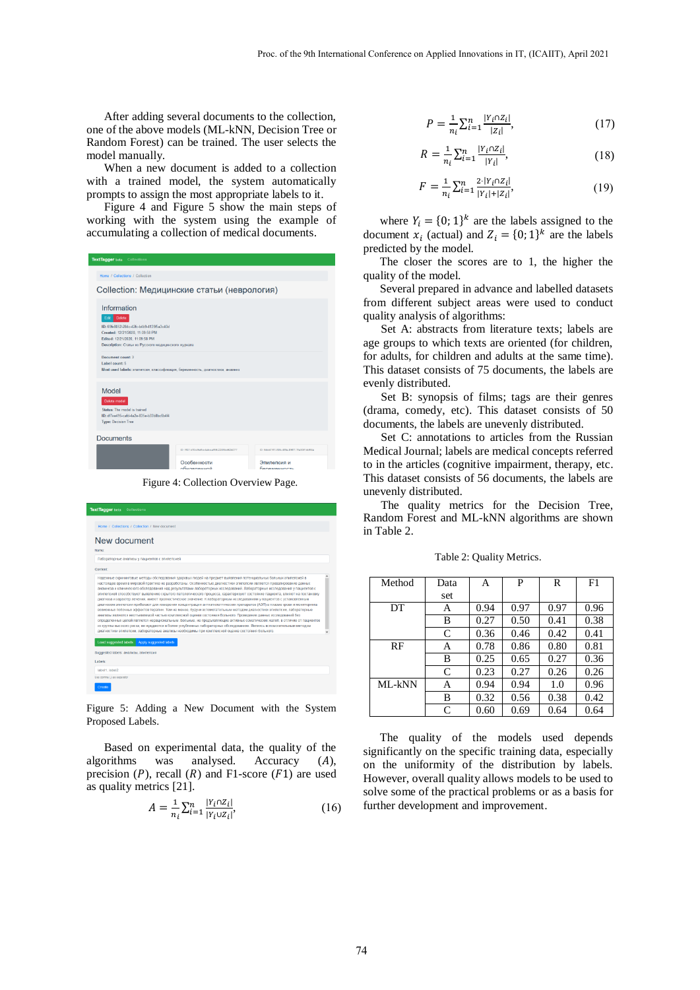After adding several documents to the collection, one of the above models (ML-kNN, Decision Tree or Random Forest) can be trained. The user selects the model manually.

When a new document is added to a collection with a trained model, the system automatically prompts to assign the most appropriate labels to it.

Figure 4 and Figure 5 show the main steps of working with the system using the example of accumulating a collection of medical documents.

| <b>Text Tagger beta</b> Collections                                                                                                                                                                             |                                                              |                                           |  |  |  |  |
|-----------------------------------------------------------------------------------------------------------------------------------------------------------------------------------------------------------------|--------------------------------------------------------------|-------------------------------------------|--|--|--|--|
| Home / Collections / Collection                                                                                                                                                                                 |                                                              |                                           |  |  |  |  |
| Collection: Медицинские статьи (неврология)                                                                                                                                                                     |                                                              |                                           |  |  |  |  |
| Information<br><b>Delete</b><br>Edit<br>ID: 69fe8052-284c-42fc-b4b9-4139f5a3c40d<br>Created: 12/21/2020, 11:09:58 PM<br>Edited: 12/21/2020. 11:09:58 PM<br>Description: Статьи из Русского медицинского журнала |                                                              |                                           |  |  |  |  |
| Document count: 3<br>Label count: 5<br>Most used labels: эпипепсия, классификация, беременность, диагностика, анамнез                                                                                           |                                                              |                                           |  |  |  |  |
| Model<br>Delete model<br>Status: The model is trained<br>ID: df7ee495-cafd-4a2e-835e-b33b8bc6b4f4<br><b>Type: Decision Tree</b>                                                                                 |                                                              |                                           |  |  |  |  |
| <b>Documents</b>                                                                                                                                                                                                | ID: f501c70c9a5c4aboaf59-2205bc92b077                        | ID: fobo4151-f8fb-46fa-8967-7fa33f1dd54a  |  |  |  |  |
|                                                                                                                                                                                                                 | Особенности<br>ohuonnouuou                                   | Эпилепсия и<br><b><u>Белеменность</u></b> |  |  |  |  |
|                                                                                                                                                                                                                 | $E_{\text{GUP}}$ 4. $C_{\text{G}}$ llastian $Q_{\text{GPE}}$ |                                           |  |  |  |  |

Figure 4: Collection Overview Page.

| <b>TextTagger</b> beta<br><b>Collections</b>                                                                                                                                                                                                                                                                                                                                                                                                                                                                                                                                                                                                                                                                                                                                                                                                                                                                                                                                                                                                                                                                                                                                                                                                                                                                                                                     |  |
|------------------------------------------------------------------------------------------------------------------------------------------------------------------------------------------------------------------------------------------------------------------------------------------------------------------------------------------------------------------------------------------------------------------------------------------------------------------------------------------------------------------------------------------------------------------------------------------------------------------------------------------------------------------------------------------------------------------------------------------------------------------------------------------------------------------------------------------------------------------------------------------------------------------------------------------------------------------------------------------------------------------------------------------------------------------------------------------------------------------------------------------------------------------------------------------------------------------------------------------------------------------------------------------------------------------------------------------------------------------|--|
| Home / Collections / Collection / New document                                                                                                                                                                                                                                                                                                                                                                                                                                                                                                                                                                                                                                                                                                                                                                                                                                                                                                                                                                                                                                                                                                                                                                                                                                                                                                                   |  |
| New document<br>Name:                                                                                                                                                                                                                                                                                                                                                                                                                                                                                                                                                                                                                                                                                                                                                                                                                                                                                                                                                                                                                                                                                                                                                                                                                                                                                                                                            |  |
| Лабораторные анализы у пациентов с эпилепсией                                                                                                                                                                                                                                                                                                                                                                                                                                                                                                                                                                                                                                                                                                                                                                                                                                                                                                                                                                                                                                                                                                                                                                                                                                                                                                                    |  |
| Content                                                                                                                                                                                                                                                                                                                                                                                                                                                                                                                                                                                                                                                                                                                                                                                                                                                                                                                                                                                                                                                                                                                                                                                                                                                                                                                                                          |  |
| Надежные скрининговые методы обследования здоровых людей на предмет выявления потенциальных больных эпилепсией в<br>настоящее время в мировой практике не разработаны. Особенностью диагностики эпилепсии является превалирование данных<br>анамнеза и клинического обследования над результатами лабораторных исследований. Лабораторные исследования у пациентов с<br>эпилепсией способствуют выявлению скрытого патологического процесса, характеризуют состояние пациента, впияют на постановку<br>диагноза и характер лечения, имеют прогностическое значение. К лабораторным исследованиям у пациентов с установленным<br>диагнозом эпилепсии прибегают для измерения концентрации антиэпилептических препаратов (АЭП) в плазме крови и мониторинга<br>возможных побочных эффектов терапии. Тем не менее, будучи вспомогательным методом диагностики эпилепсии, лабораторные<br>анализы являются неотъемлемой частью комплексной оценки состояния больного. Проведение данных исследований без<br>определенных целей является нерациональным. Больные, не предъявляющие активных соматических жалоб, в отличие от пациентов<br>из группы высокого риска, не нуждаются в более углубленных лабораторных обследованиях. Являясь вспомогательным методом<br>диагностики эпилепсии, лабораторные анализы необходимы при комплексной оценке состояния больного. |  |
| <b>Load suggested labels</b><br>Apply suggested labels<br>Suggested labels: анализы, эпилепсия<br>Labels:                                                                                                                                                                                                                                                                                                                                                                                                                                                                                                                                                                                                                                                                                                                                                                                                                                                                                                                                                                                                                                                                                                                                                                                                                                                        |  |
| label1, label2                                                                                                                                                                                                                                                                                                                                                                                                                                                                                                                                                                                                                                                                                                                                                                                                                                                                                                                                                                                                                                                                                                                                                                                                                                                                                                                                                   |  |
| Use comma (.) as separator                                                                                                                                                                                                                                                                                                                                                                                                                                                                                                                                                                                                                                                                                                                                                                                                                                                                                                                                                                                                                                                                                                                                                                                                                                                                                                                                       |  |
| Create                                                                                                                                                                                                                                                                                                                                                                                                                                                                                                                                                                                                                                                                                                                                                                                                                                                                                                                                                                                                                                                                                                                                                                                                                                                                                                                                                           |  |

Figure 5: Adding a New Document with the System Proposed Labels.

Based on experimental data, the quality of the algorithms was analysed. Accuracy  $(A)$ , precision  $(P)$ , recall  $(R)$  and F1-score  $(F1)$  are used as quality metrics [\[21\].](#page-7-7) 

$$
A = \frac{1}{n_i} \sum_{i=1}^{n} \frac{|Y_i \cap Z_i|}{|Y_i \cup Z_i|},\tag{16}
$$

$$
P = \frac{1}{n_i} \sum_{i=1}^{n} \frac{|Y_i \cap Z_i|}{|Z_i|},\tag{17}
$$

$$
R = \frac{1}{n_i} \sum_{i=1}^{n} \frac{|Y_i \cap Z_i|}{|Y_i|},\tag{18}
$$

$$
F = \frac{1}{n_i} \sum_{i=1}^{n} \frac{2 \cdot |Y_i \cap Z_i|}{|Y_i| + |Z_i|},\tag{19}
$$

where  $Y_i = \{0; 1\}^k$  are the labels assigned to the document  $x_i$  (actual) and  $Z_i = \{0, 1\}^k$  are the labels predicted by the model.

The closer the scores are to 1, the higher the quality of the model.

Several prepared in advance and labelled datasets from different subject areas were used to conduct quality analysis of algorithms:

Set A: abstracts from literature texts; labels are age groups to which texts are oriented (for children, for adults, for children and adults at the same time). This dataset consists of 75 documents, the labels are evenly distributed.

Set B: synopsis of films; tags are their genres (drama, comedy, etc). This dataset consists of 50 documents, the labels are unevenly distributed.

Set C: annotations to articles from the Russian Medical Journal; labels are medical concepts referred to in the articles (cognitive impairment, therapy, etc. This dataset consists of 56 documents, the labels are unevenly distributed.

The quality metrics for the Decision Tree, Random Forest and ML-kNN algorithms are shown in Table 2.

| Method | Data | A    | P    | R    | F1   |
|--------|------|------|------|------|------|
|        | set  |      |      |      |      |
| DT     | A    | 0.94 | 0.97 | 0.97 | 0.96 |
|        | B    | 0.27 | 0.50 | 0.41 | 0.38 |
|        | C    | 0.36 | 0.46 | 0.42 | 0.41 |
| RF     | А    | 0.78 | 0.86 | 0.80 | 0.81 |
|        | B    | 0.25 | 0.65 | 0.27 | 0.36 |
|        | C    | 0.23 | 0.27 | 0.26 | 0.26 |
| ML-kNN | А    | 0.94 | 0.94 | 1.0  | 0.96 |
|        | B    | 0.32 | 0.56 | 0.38 | 0.42 |
|        | C    | 0.60 | 0.69 | 0.64 | 0.64 |

Table 2: Quality Metrics.

The quality of the models used depends significantly on the specific training data, especially on the uniformity of the distribution by labels. However, overall quality allows models to be used to solve some of the practical problems or as a basis for further development and improvement.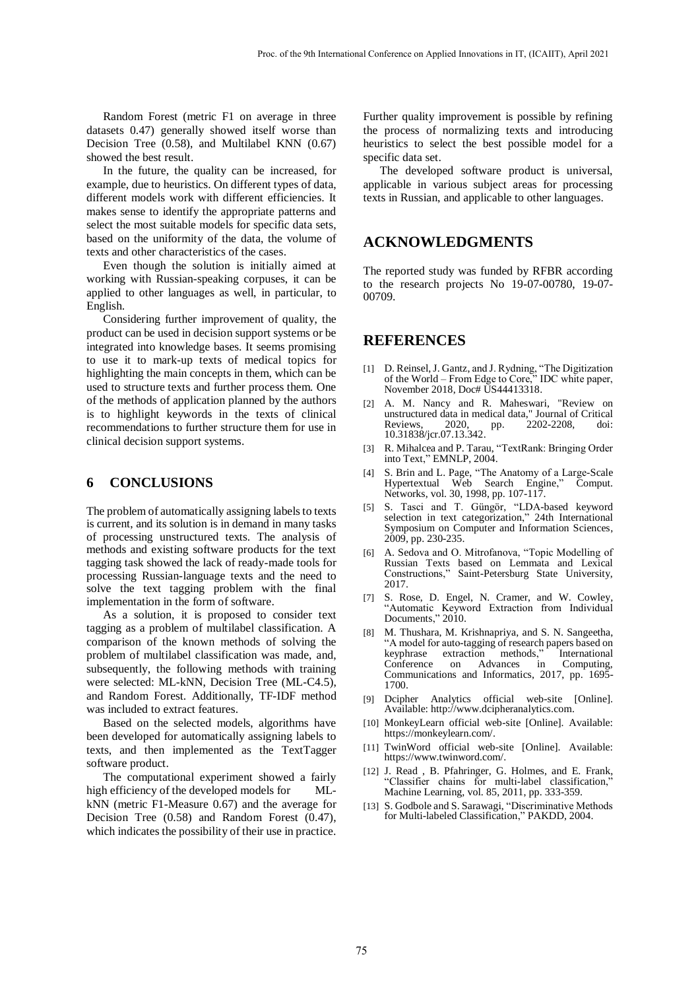Random Forest (metric F1 on average in three datasets 0.47) generally showed itself worse than Decision Tree (0.58), and Multilabel KNN (0.67) showed the best result.

In the future, the quality can be increased, for example, due to heuristics. On different types of data, different models work with different efficiencies. It makes sense to identify the appropriate patterns and select the most suitable models for specific data sets, based on the uniformity of the data, the volume of texts and other characteristics of the cases.

Even though the solution is initially aimed at working with Russian-speaking corpuses, it can be applied to other languages as well, in particular, to English.

Considering further improvement of quality, the product can be used in decision support systems or be integrated into knowledge bases. It seems promising to use it to mark-up texts of medical topics for highlighting the main concepts in them, which can be used to structure texts and further process them. One of the methods of application planned by the authors is to highlight keywords in the texts of clinical recommendations to further structure them for use in clinical decision support systems.

### **6 CONCLUSIONS**

The problem of automatically assigning labels to texts is current, and its solution is in demand in many tasks of processing unstructured texts. The analysis of methods and existing software products for the text tagging task showed the lack of ready-made tools for processing Russian-language texts and the need to solve the text tagging problem with the final implementation in the form of software.

As a solution, it is proposed to consider text tagging as a problem of multilabel classification. A comparison of the known methods of solving the problem of multilabel classification was made, and, subsequently, the following methods with training were selected: ML-kNN, Decision Tree (ML-C4.5), and Random Forest. Additionally, TF-IDF method was included to extract features.

Based on the selected models, algorithms have been developed for automatically assigning labels to texts, and then implemented as the TextTagger software product.

The computational experiment showed a fairly high efficiency of the developed models for MLkNN (metric F1-Measure 0.67) and the average for Decision Tree (0.58) and Random Forest (0.47), which indicates the possibility of their use in practice. Further quality improvement is possible by refining the process of normalizing texts and introducing heuristics to select the best possible model for a specific data set.

The developed software product is universal, applicable in various subject areas for processing texts in Russian, and applicable to other languages.

# **ACKNOWLEDGMENTS**

The reported study was funded by RFBR according to the research projects No 19-07-00780, 19-07- 00709.

# **REFERENCES**

- <span id="page-6-0"></span>[1] D. Reinsel, J. Gantz, and J. Rydning, "The Digitization of the World – From Edge to Core," IDC white paper, November 2018, Doc# US44413318.
- <span id="page-6-1"></span>[2] A. M. Nancy and R. Maheswari, "Review on unstructured data in medical data," Journal of Critical<br>Reviews, 2020, pp. 2202-2208, doi: Reviews, 2020, pp. 2202-2208, doi: 10.31838/jcr.07.13.342.
- <span id="page-6-2"></span>[3] R. Mihalcea and P. Tarau, "TextRank: Bringing Order into Text," EMNLP, 2004.
- <span id="page-6-3"></span>[4] S. Brin and L. Page, "The Anatomy of a Large-Scale Hypertextual Web Search Engine," Comput. Networks, vol. 30, 1998, pp. 107-117.
- <span id="page-6-4"></span>[5] S. Tasci and T. Güngör, "LDA-based keyword selection in text categorization," 24th International Symposium on Computer and Information Sciences, 2009, pp. 230-235.
- <span id="page-6-5"></span>[6] A. Sedova and O. Mitrofanova, "Topic Modelling of Russian Texts based on Lemmata and Lexical Constructions," Saint-Petersburg State University, 2017.
- <span id="page-6-6"></span>[7] S. Rose, D. Engel, N. Cramer, and W. Cowley, "Automatic Keyword Extraction from Individual Documents," 2010.
- <span id="page-6-7"></span>[8] M. Thushara, M. Krishnapriya, and S. N. Sangeetha, "A model for auto-tagging of research papers based on keyphrase extraction methods," International Conference on Advances in Computing, Conference on Advances in Communications and Informatics, 2017, pp. 1695- 1700.
- <span id="page-6-8"></span>[9] Dcipher Analytics official web-site [Online]. Available: http://www.dcipheranalytics.com.
- [10] MonkeyLearn official web-site [Online]. Available: https://monkeylearn.com/.
- [11] TwinWord official web-site [Online]. Available: https://www.twinword.com/.
- <span id="page-6-9"></span>[12] J. Read , B. Pfahringer, G. Holmes, and E. Frank, "Classifier chains for multi-label classification," Machine Learning, vol. 85, 2011, pp. 333-359.
- <span id="page-6-10"></span>[13] S. Godbole and S. Sarawagi, "Discriminative Methods" for Multi-labeled Classification," PAKDD, 2004.